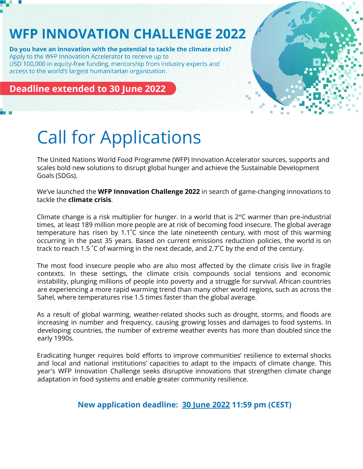# **WFP INNOVATION CHALLENGE 2022**

Do you have an innovation with the potential to tackle the climate crisis? Apply to the WFP Innovation Accelerator to receive up to USD 100,000 in equity-free funding, mentorship from industry experts and access to the world's largest humanitarian organization.

**Deadline extended to 30 June 2022** 



# Call for Applications

The United Nations World Food Programme (WFP) Innovation Accelerator sources, supports and scales bold new solutions to disrupt global hunger and achieve the Sustainable Development Goals (SDGs).

We've launched the **WFP Innovation Challenge 2022** in search of game-changing innovations to tackle the **climate crisis**.

Climate change is a risk multiplier for hunger. In a world that is 2°C warmer than pre-industrial times, at least 189 million more people are at risk of becoming food insecure. The global average temperature has risen by 1.1˚C since the late nineteenth century, with most of this warming occurring in the past 35 years. Based on current emissions reduction policies, the world is on track to reach 1.5 ˚C of warming in the next decade, and 2.7˚C by the end of the century.

The most food insecure people who are also most affected by the climate crisis live in fragile contexts. In these settings, the climate crisis compounds social tensions and economic instability, plunging millions of people into poverty and a struggle for survival. African countries are experiencing a more rapid warming trend than many other world regions, such as across the Sahel, where temperatures rise 1.5 times faster than the global average.

As a result of global warming, weather-related shocks such as drought, storms, and floods are increasing in number and frequency, causing growing losses and damages to food systems. In developing countries, the number of extreme weather events has more than doubled since the early 1990s.

Eradicating hunger requires bold efforts to improve communities' resilience to external shocks and local and national institutions' capacities to adapt to the impacts of climate change. This year's WFP Innovation Challenge seeks disruptive innovations that strengthen climate change adaptation in food systems and enable greater community resilience.

## **New application deadline: 30 June 2022 11:59 pm (CEST)**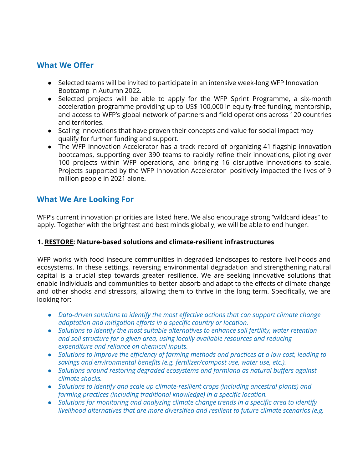#### **What We Offer**

- Selected teams will be invited to participate in an intensive week-long WFP Innovation Bootcamp in Autumn 2022.
- Selected projects will be able to apply for the WFP Sprint Programme, a six-month acceleration programme providing up to US\$ 100,000 in equity-free funding, mentorship, and access to WFP's global network of partners and field operations across 120 countries and territories.
- Scaling innovations that have proven their concepts and value for social impact may qualify for further funding and support.
- The WFP Innovation Accelerator has a track record of organizing 41 flagship innovation bootcamps, supporting over 390 teams to rapidly refine their innovations, piloting over 100 projects within WFP operations, and bringing 16 disruptive innovations to scale. Projects supported by the WFP Innovation Accelerator positively impacted the lives of 9 million people in 2021 alone.

## **What We Are Looking For**

WFP's current innovation priorities are listed here. We also encourage strong "wildcard ideas" to apply. Together with the brightest and best minds globally, we will be able to end hunger.

#### **1. [RESTORE:](https://www.wfp.org/resilience-building) Nature-based solutions and climate-resilient infrastructures**

WFP works with food insecure communities in degraded landscapes to restore livelihoods and ecosystems. In these settings, reversing environmental degradation and strengthening natural capital is a crucial step towards greater resilience. We are seeking innovative solutions that enable individuals and communities to better absorb and adapt to the effects of climate change and other shocks and stressors, allowing them to thrive in the long term. Specifically, we are looking for:

- *● Data-driven solutions to identify the most effective actions that can support climate change adaptation and mitigation efforts in a specific country or location.*
- *● Solutions to identify the most suitable alternatives to enhance soil fertility, water retention and soil structure for a given area, using locally available resources and reducing expenditure and reliance on chemical inputs.*
- *● Solutions to improve the efficiency of farming methods and practices at a low cost, leading to savings and environmental benefits (e.g. fertilizer/compost use, water use, etc.).*
- *● Solutions around restoring degraded ecosystems and farmland as natural buffers against climate shocks.*
- *● Solutions to identify and scale up climate-resilient crops (including ancestral plants) and farming practices (including traditional knowledge) in a specific location.*
- *● Solutions for monitoring and analyzing climate change trends in a specific area to identify livelihood alternatives that are more diversified and resilient to future climate scenarios (e.g.*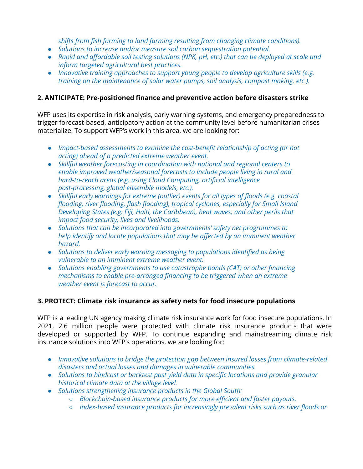*shifts from fish farming to land farming resulting from changing climate conditions).*

- *● Solutions to increase and/or measure soil carbon sequestration potential.*
- *● Rapid and affordable soil testing solutions (NPK, pH, etc.) that can be deployed at scale and inform targeted agricultural best practices.*
- *● Innovative training approaches to support young people to develop agriculture skills (e.g. training on the maintenance of solar water pumps, soil analysis, compost making, etc.).*

#### **2. [ANTICIPATE:](https://www.wfp.org/forecast-based-financing) Pre-positioned finance and preventive action before disasters strike**

WFP uses its expertise in risk analysis, early warning systems, and emergency preparedness to trigger forecast-based, anticipatory action at the community level before humanitarian crises materialize. To support WFP's work in this area, we are looking for:

- *● Impact-based assessments to examine the cost-benefit relationship of acting (or not acting) ahead of a predicted extreme weather event.*
- *● Skillful weather forecasting in coordination with national and regional centers to enable improved weather/seasonal forecasts to include people living in rural and hard-to-reach areas (e.g. using Cloud Computing, artificial intelligence post-processing, global ensemble models, etc.).*
- *● Skillful early warnings for extreme (outlier) events for all types of floods (e.g. coastal flooding, river flooding, flash flooding), tropical cyclones, especially for Small Island Developing States (e.g. Fiji, Haiti, the Caribbean), heat waves, and other perils that impact food security, lives and livelihoods.*
- *● Solutions that can be incorporated into governments' safety net programmes to help identify and locate populations that may be affected by an imminent weather hazard.*
- *● Solutions to deliver early warning messaging to populations identified as being vulnerable to an imminent extreme weather event.*
- *● Solutions enabling governments to use catastrophe bonds (CAT) or other financing mechanisms to enable pre-arranged financing to be triggered when an extreme weather event is forecast to occur.*

#### **3. [PROTECT](https://www.wfp.org/risk-management-insurance-and-finance): Climate risk insurance as safety nets for food insecure populations**

WFP is a leading UN agency making climate risk insurance work for food insecure populations. In 2021, 2.6 million people were protected with climate risk insurance products that were developed or supported by WFP. To continue expanding and mainstreaming climate risk insurance solutions into WFP's operations, we are looking for:

- *● Innovative solutions to bridge the protection gap between insured losses from climate-related disasters and actual losses and damages in vulnerable communities.*
- *● Solutions to hindcast or backtest past yield data in specific locations and provide granular historical climate data at the village level.*
- *● Solutions strengthening insurance products in the Global South:*
	- *○ Blockchain-based insurance products for more efficient and faster payouts.*
	- *○ Index-based insurance products for increasingly prevalent risks such as river floods or*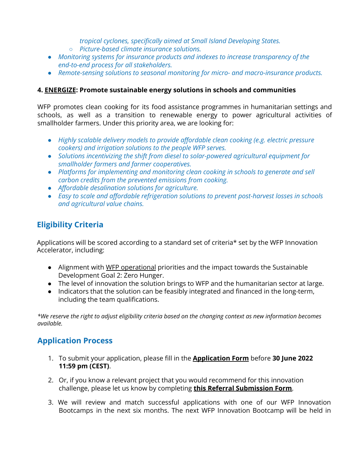*tropical cyclones, specifically aimed at Small Island Developing States.*

- *○ Picture-based climate insurance solutions.*
- *● Monitoring systems for insurance products and indexes to increase transparency of the end-to-end process for all stakeholders.*
- *● Remote-sensing solutions to seasonal monitoring for micro- and macro-insurance products.*

#### **4. [ENERGIZE](https://www.wfp.org/energy-for-food-security): Promote sustainable energy solutions in schools and communities**

WFP promotes clean cooking for its food assistance programmes in humanitarian settings and schools, as well as a transition to renewable energy to power agricultural activities of smallholder farmers. Under this priority area, we are looking for:

- *● Highly scalable delivery models to provide affordable clean cooking (e.g. electric pressure cookers) and irrigation solutions to the people WFP serves.*
- *● Solutions incentivizing the shift from diesel to solar-powered agricultural equipment for smallholder farmers and farmer cooperatives.*
- *● Platforms for implementing and monitoring clean cooking in schools to generate and sell carbon credits from the prevented emissions from cooking.*
- *● Affordable desalination solutions for agriculture.*
- *● Easy to scale and affordable refrigeration solutions to prevent post-harvest losses in schools and agricultural value chains.*

# **Eligibility Criteria**

Applications will be scored according to a standard set of criteria\* set by the WFP Innovation Accelerator, including:

- Alignment with WFP [operational](https://www.wfp.org/countries) priorities and the impact towards the Sustainable Development Goal 2: Zero Hunger.
- The level of innovation the solution brings to WFP and the humanitarian sector at large.
- Indicators that the solution can be feasibly integrated and financed in the long-term, including the team qualifications.

\*We reserve the right to adjust eligibility criteria based on the changing context as new information becomes *available.*

# **Application Process**

- 1. To submit your application, please fill in the **[Application](https://airtable.com/shrFoL6DIyoUfFLsR) Form** before **30 June 2022 11:59 pm (CEST)**.
- 2. Or, if you know a relevant project that you would recommend for this innovation challenge, please let us know by completing **this Referral [Submission](https://airtable.com/shrBfb6PhPcUEKHy0) Form**.
- 3. We will review and match successful applications with one of our WFP Innovation Bootcamps in the next six months. The next WFP Innovation Bootcamp will be held in